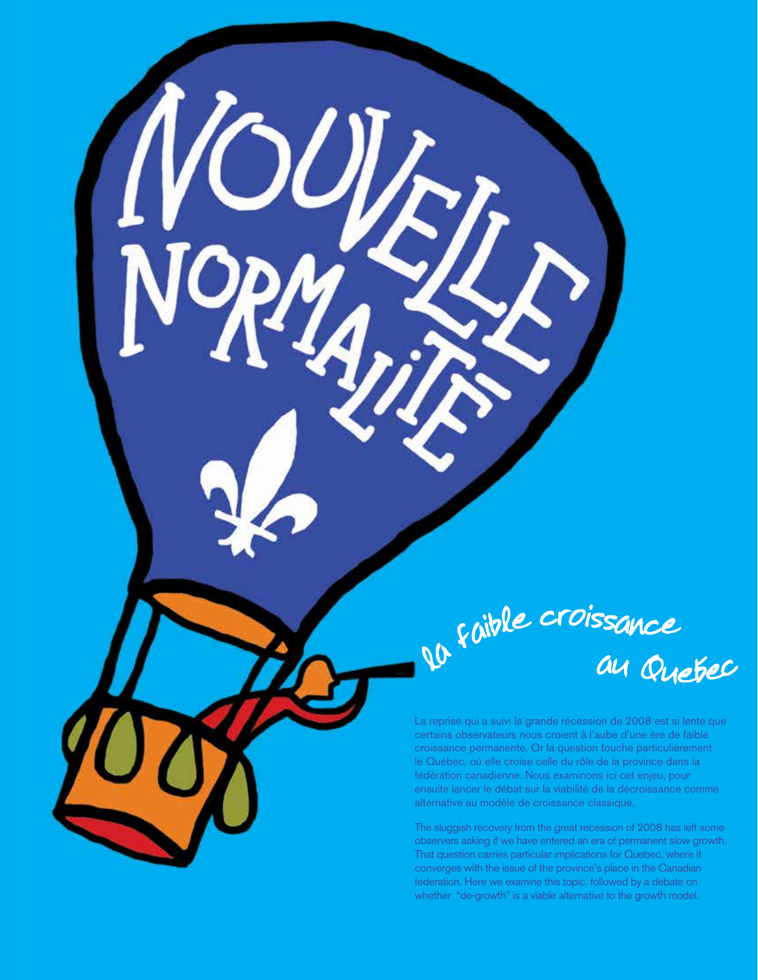raible croissance <sup>a</sup><sup>u</sup> Q<sup>u</sup>ebe<sup>c</sup>

La reprise qui a suivi la grande récession de 2008 est si lente que certains observateurs nous croient à l'aube d'une ère de faible croissance permanente. Or la question touche particulièrement le Québec, où elle croise celle du rôle de la province dans la fédération canadienne. Nous examinons ici cet enjeu, pour ensuite lancer le débat sur la viabilité de la décroissance comme alternative au modèle de croissance classique.

The sluggish recovery from the great recession of 2008 has left some observers asking if we have entered an era of permanent slow growth. That question carries particular implications for Quebec, where it converges with the issue of the province's place in the Canadian federation. Here we examine this topic, followed by a debate on whether "de-growth" is a viable alternative to the growth model.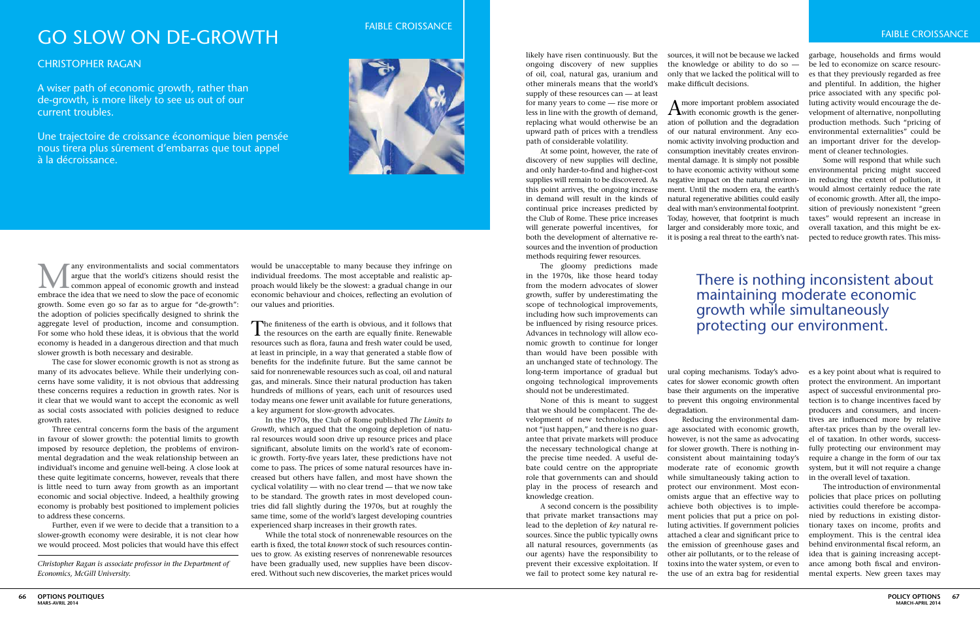likely have risen continuously. But the ongoing discovery of new supplies of oil, coal, natural gas, uranium and other minerals means that the world's supply of these resources can — at least for many years to come — rise more or less in line with the growth of demand, replacing what would otherwise be an path of considerable volatility.

At some point, however, the rate of discovery of new supplies will decline, and only harder-to-find and higher-cost supplies will remain to be discovered. As this point arrives, the ongoing increase in demand will result in the kinds of continual price increases predicted by the Club of Rome. These price increases will generate powerful incentives, for both the development of alternative resources and the invention of production methods requiring fewer resources.

The gloomy predictions made in the 1970s, like those heard today from the modern advocates of slower growth, suffer by underestimating the scope of technological improvements, including how such improvements can be influenced by rising resource prices. Advances in technology will allow economic growth to continue for longer than would have been possible with an unchanged state of technology. The long-term importance of gradual but ongoing technological improvements cates for slower economic growth often should not be underestimated.

upward path of prices with a trendless of our natural environment. Any eco- $A$  more important problem associated with economic growth is the generation of pollution and the degradation nomic activity involving production and consumption inevitably creates environmental damage. It is simply not possible to have economic activity without some negative impact on the natural environment. Until the modern era, the earth's natural regenerative abilities could easily deal with man's environmental footprint. Today, however, that footprint is much larger and considerably more toxic, and it is posing a real threat to the earth's nat-

None of this is meant to suggest that we should be complacent. The development of new technologies does not "just happen," and there is no guarantee that private markets will produce the necessary technological change at the precise time needed. A useful debate could centre on the appropriate role that governments can and should play in the process of research and knowledge creation.

A second concern is the possibility that private market transactions may lead to the depletion of *key* natural resources. Since the public typically owns all natural resources, governments (as our agents) have the responsibility to prevent their excessive exploitation. If we fail to protect some key natural re-

sources, it will not be because we lacked the knowledge or ability to do so only that we lacked the political will to make difficult decisions.

ural coping mechanisms. Today's advobase their arguments on the imperative to prevent this ongoing environmental degradation.

Many environmentalists and social commentators<br>argue that the world's citizens should resist the<br>common appeal of economic growth and instead<br>ambrace the idea that we need to slow the nace of economic argue that the world's citizens should resist the **L** common appeal of economic growth and instead embrace the idea that we need to slow the pace of economic growth. Some even go so far as to argue for "de-growth": the adoption of policies specifically designed to shrink the aggregate level of production, income and consumption. For some who hold these ideas, it is obvious that the world economy is headed in a dangerous direction and that much slower growth is both necessary and desirable.

> Reducing the environmental damage associated with economic growth, however, is not the same as advocating for slower growth. There is nothing inconsistent about maintaining today's moderate rate of economic growth while simultaneously taking action to protect our environment. Most economists argue that an effective way to achieve both objectives is to implement policies that put a price on polluting activities. If government policies attached a clear and significant price to the emission of greenhouse gases and other air pollutants, or to the release of toxins into the water system, or even to the use of an extra bag for residential

garbage, households and firms would be led to economize on scarce resources that they previously regarded as free and plentiful. In addition, the higher price associated with any specific polluting activity would encourage the development of alternative, nonpolluting production methods. Such "pricing of environmental externalities" could be an important driver for the development of cleaner technologies.

The finiteness of the earth is obvious, and it follows that the resources on the earth are equally finite. Renewable resources such as flora, fauna and fresh water could be used, at least in principle, in a way that generated a stable flow of benefits for the indefinite future. But the same cannot be said for nonrenewable resources such as coal, oil and natural gas, and minerals. Since their natural production has taken hundreds of millions of years, each unit of resources used today means one fewer unit available for future generations, a key argument for slow-growth advocates.

Some will respond that while such environmental pricing might succeed in reducing the extent of pollution, it would almost certainly reduce the rate of economic growth. After all, the imposition of previously nonexistent "green taxes" would represent an increase in overall taxation, and this might be expected to reduce growth rates. This miss-

es a key point about what is required to protect the environment. An important aspect of successful environmental protection is to change incentives faced by producers and consumers, and incentives are influenced more by relative after-tax prices than by the overall level of taxation. In other words, successfully protecting our environment may require a change in the form of our tax system, but it will not require a change in the overall level of taxation.

The introduction of environmental policies that place prices on polluting activities could therefore be accompanied by reductions in existing distortionary taxes on income, profits and employment. This is the central idea behind environmental fiscal reform, an idea that is gaining increasing acceptance among both fiscal and environmental experts. New green taxes may

# go slow on de-growth

## Christopher Ragan

A wiser path of economic growth, rather than de-growth, is more likely to see us out of our current troubles.

Une trajectoire de croissance économique bien pensée nous tirera plus sûrement d'embarras que tout appel à la décroissance.



FAIBLE CROISSANCE

*Christopher Ragan is associate professor in the Department of Economics, McGill University.*

The case for slower economic growth is not as strong as many of its advocates believe. While their underlying concerns have some validity, it is not obvious that addressing these concerns requires a reduction in growth rates. Nor is it clear that we would want to accept the economic as well as social costs associated with policies designed to reduce growth rates.

Three central concerns form the basis of the argument in favour of slower growth: the potential limits to growth imposed by resource depletion, the problems of environmental degradation and the weak relationship between an individual's income and genuine well-being. A close look at these quite legitimate concerns, however, reveals that there is little need to turn away from growth as an important economic and social objective. Indeed, a healthily growing economy is probably best positioned to implement policies to address these concerns.

Further, even if we were to decide that a transition to a slower-growth economy were desirable, it is not clear how we would proceed. Most policies that would have this effect

would be unacceptable to many because they infringe on individual freedoms. The most acceptable and realistic approach would likely be the slowest: a gradual change in our economic behaviour and choices, reflecting an evolution of our values and priorities.

In the 1970s, the Club of Rome published *The Limits to Growth*, which argued that the ongoing depletion of natural resources would soon drive up resource prices and place significant, absolute limits on the world's rate of economic growth. Forty-five years later, these predictions have not come to pass. The prices of some natural resources have increased but others have fallen, and most have shown the cyclical volatility — with no clear trend — that we now take to be standard. The growth rates in most developed countries did fall slightly during the 1970s, but at roughly the same time, some of the world's largest developing countries experienced sharp increases in their growth rates.

While the total stock of nonrenewable resources on the earth is fixed, the total *known* stock of such resources continues to grow. As existing reserves of nonrenewable resources have been gradually used, new supplies have been discovered. Without such new discoveries, the market prices would

# There is nothing inconsistent about maintaining moderate economic growth while simultaneously protecting our environment.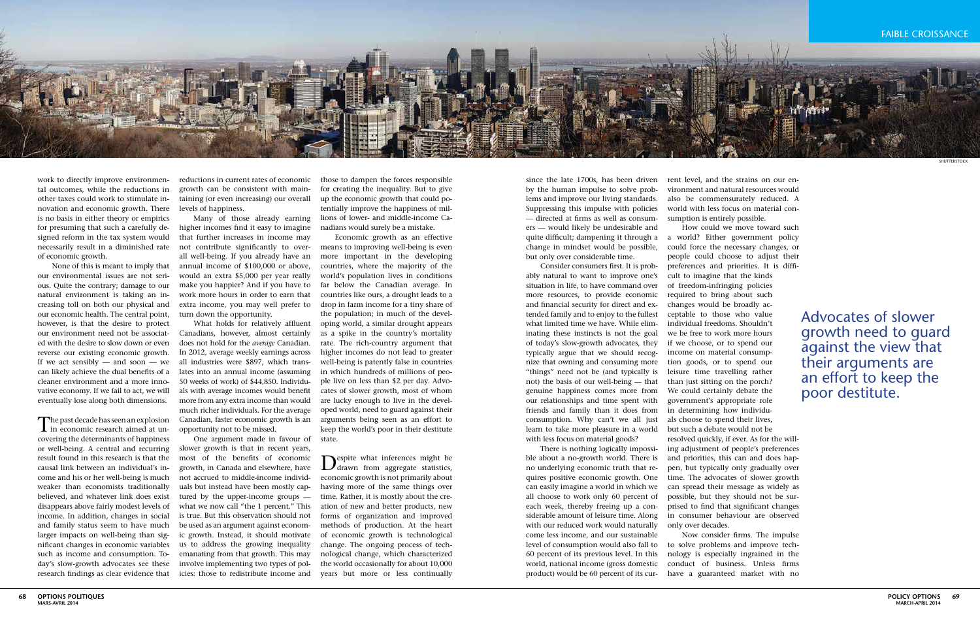

since the late 1700s, has been driven by the human impulse to solve problems and improve our living standards. Suppressing this impulse with policies — directed at firms as well as consumers — would likely be undesirable and but only over considerable time.

Consider consumers first. It is probably natural to want to improve one's situation in life, to have command over more resources, to provide economic and financial security for direct and extended family and to enjoy to the fullest what limited time we have. While eliminating these instincts is not the goal of today's slow-growth advocates, they typically argue that we should recognize that owning and consuming more "things" need not be (and typically is not) the basis of our well-being — that genuine happiness comes more from our relationships and time spent with friends and family than it does from consumption. Why can't we all just learn to take more pleasure in a world with less focus on material goods?

There is nothing logically impossible about a no-growth world. There is no underlying economic truth that requires positive economic growth. One can easily imagine a world in which we all choose to work only 60 percent of each week, thereby freeing up a considerable amount of leisure time. Along with our reduced work would naturally come less income, and our sustainable level of consumption would also fall to to solve problems and improve tech-60 percent of its previous level. In this world, national income (gross domestic product) would be 60 percent of its cur-

reductions in current rates of economic growth can be consistent with maintaining (or even increasing) our overall levels of happiness.

Many of those already earning higher incomes find it easy to imagine that further increases in income may not contribute significantly to overall well-being. If you already have an annual income of \$100,000 or above, would an extra \$5,000 per year really make you happier? And if you have to work more hours in order to earn that extra income, you may well prefer to turn down the opportunity.

What holds for relatively affluent Canadians, however, almost certainly does not hold for the *average* Canadian. In 2012, average weekly earnings across all industries were \$897, which translates into an annual income (assuming 50 weeks of work) of \$44,850. Individuals with average incomes would benefit more from any extra income than would much richer individuals. For the average Canadian, faster economic growth is an opportunity not to be missed.

One argument made in favour of slower growth is that in recent years, most of the benefits of economic growth, in Canada and elsewhere, have not accrued to middle-income individuals but instead have been mostly captured by the upper-income groups what we now call "the 1 percent." This is true. But this observation should not be used as an argument against economic growth. Instead, it should motivate us to address the growing inequality emanating from that growth. This may involve implementing two types of policies: those to redistribute income and

The past decade has seen an explosion  $\mathbf 1$  in economic research aimed at uncovering the determinants of happiness or well-being. A central and recurring result found in this research is that the causal link between an individual's income and his or her well-being is much weaker than economists traditionally believed, and whatever link does exist disappears above fairly modest levels of income. In addition, changes in social and family status seem to have much larger impacts on well-being than significant changes in economic variables such as income and consumption. Today's slow-growth advocates see these research findings as clear evidence that

those to dampen the forces responsible for creating the inequality. But to give up the economic growth that could potentially improve the happiness of millions of lower- and middle-income Canadians would surely be a mistake.

Economic growth as an effective means to improving well-being is even more important in the developing countries, where the majority of the world's population lives in conditions far below the Canadian average. In countries like ours, a drought leads to a drop in farm income for a tiny share of the population; in much of the developing world, a similar drought appears as a spike in the country's mortality rate. The rich-country argument that higher incomes do not lead to greater well-being is patently false in countries in which hundreds of millions of people live on less than \$2 per day. Advocates of slower growth, most of whom are lucky enough to live in the developed world, need to guard against their arguments being seen as an effort to keep the world's poor in their destitute state.

quite difficult; dampening it through a a world? Either government policy change in mindset would be possible, could force the necessary changes, or How could we move toward such people could choose to adjust their preferences and priorities. It is difficult to imagine that the kinds of freedom-infringing policies required to bring about such changes would be broadly acceptable to those who value individual freedoms. Shouldn't we be free to work more hours if we choose, or to spend our income on material consumption goods, or to spend our leisure time travelling rather than just sitting on the porch? We could certainly debate the government's appropriate role in determining how individuals choose to spend their lives, but such a debate would not be resolved quickly, if ever. As for the willing adjustment of people's preferences and priorities, this can and does happen, but typically only gradually over time. The advocates of slower growth can spread their message as widely as possible, but they should not be surprised to find that significant changes in consumer behaviour are observed only over decades. Advocates of slower growth need to guard against the view that their arguments are an effort to keep the poor destitute.

Despite what inferences might be drawn from aggregate statistics, economic growth is not primarily about having more of the same things over time. Rather, it is mostly about the creation of new and better products, new forms of organization and improved methods of production. At the heart of economic growth is technological change. The ongoing process of technological change, which characterized the world occasionally for about 10,000 years but more or less continually

work to directly improve environmental outcomes, while the reductions in other taxes could work to stimulate innovation and economic growth. There is no basis in either theory or empirics for presuming that such a carefully designed reform in the tax system would necessarily result in a diminished rate of economic growth.

None of this is meant to imply that our environmental issues are not serious. Quite the contrary; damage to our natural environment is taking an increasing toll on both our physical and our economic health. The central point, however, is that the desire to protect our environment need not be associated with the desire to slow down or even reverse our existing economic growth. If we act sensibly  $-$  and soon  $-$  we can likely achieve the dual benefits of a cleaner environment and a more innovative economy. If we fail to act, we will eventually lose along both dimensions.

rent level, and the strains on our environment and natural resources would also be commensurately reduced. A world with less focus on material consumption is entirely possible.

Now consider firms. The impulse nology is especially ingrained in the conduct of business. Unless firms have a guaranteed market with no shutterstock